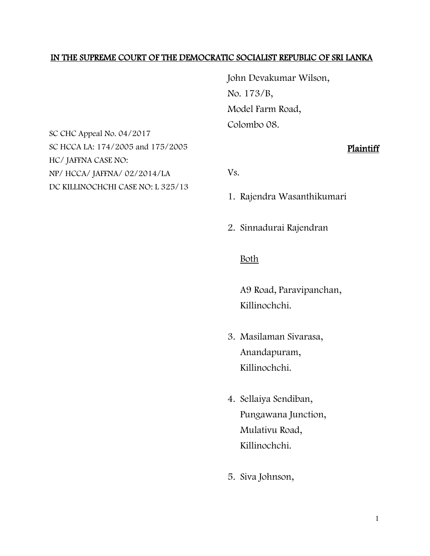#### IN THE SUPREME COURT OF THE DEMOCRATIC SOCIALIST REPUBLIC OF SRI LANKA

John Devakumar Wilson, No. 173/B, Model Farm Road, Colombo 08.

SC CHC Appeal No. 04/2017 SC HCCA LA: 174/2005 and 175/2005 HC/ JAFFNA CASE NO: NP/ HCCA/ JAFFNA/ 02/2014/LA DC KILLINOCHCHI CASE NO: L 325/13

## Plaintiff

Vs.

- 1. Rajendra Wasanthikumari
- 2. Sinnadurai Rajendran

#### Both

A9 Road, Paravipanchan, Killinochchi.

- 3. Masilaman Sivarasa, Anandapuram, Killinochchi.
- 4. Sellaiya Sendiban, Pungawana Junction, Mulativu Road, Killinochchi.
- 5. Siva Johnson,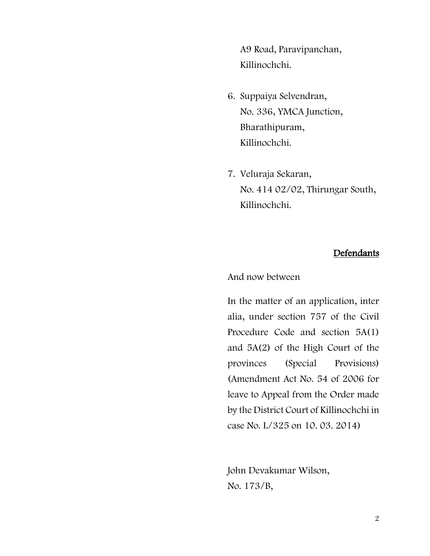A9 Road, Paravipanchan, Killinochchi.

- 6. Suppaiya Selvendran, No. 336, YMCA Junction, Bharathipuram, Killinochchi.
- 7. Veluraja Sekaran, No. 414 02/02, Thirungar South, Killinochchi.

## Defendants

And now between

In the matter of an application, inter alia, under section 757 of the Civil Procedure Code and section 5A(1) and 5A(2) of the High Court of the provinces (Special Provisions) (Amendment Act No. 54 of 2006 for leave to Appeal from the Order made by the District Court of Killinochchi in case No. L/325 on 10. 03. 2014)

John Devakumar Wilson, No. 173/B,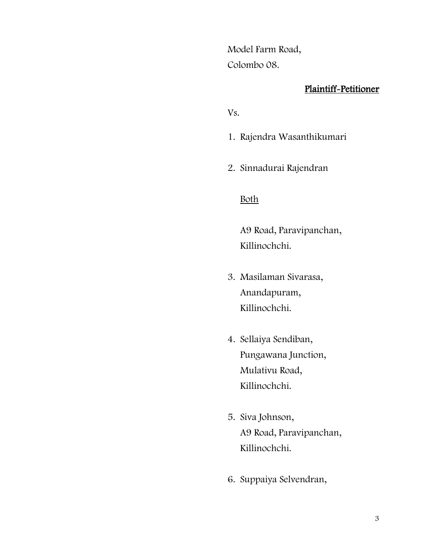Model Farm Road, Colombo 08.

### Plaintiff-Petitioner

Vs.

- 1. Rajendra Wasanthikumari
- 2. Sinnadurai Rajendran

## Both

A9 Road, Paravipanchan, Killinochchi.

- 3. Masilaman Sivarasa, Anandapuram, Killinochchi.
- 4. Sellaiya Sendiban, Pungawana Junction, Mulativu Road, Killinochchi.
- 5. Siva Johnson, A9 Road, Paravipanchan, Killinochchi.
- 6. Suppaiya Selvendran,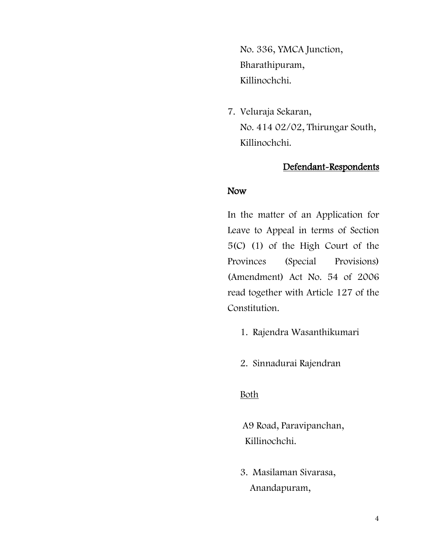No. 336, YMCA Junction, Bharathipuram, Killinochchi.

7. Veluraja Sekaran, No. 414 02/02, Thirungar South, Killinochchi.

## Defendant-Respondents

#### Now

In the matter of an Application for Leave to Appeal in terms of Section 5(C) (1) of the High Court of the Provinces (Special Provisions) (Amendment) Act No. 54 of 2006 read together with Article 127 of the Constitution.

- 1. Rajendra Wasanthikumari
- 2. Sinnadurai Rajendran

## Both

A9 Road, Paravipanchan, Killinochchi.

3. Masilaman Sivarasa, Anandapuram,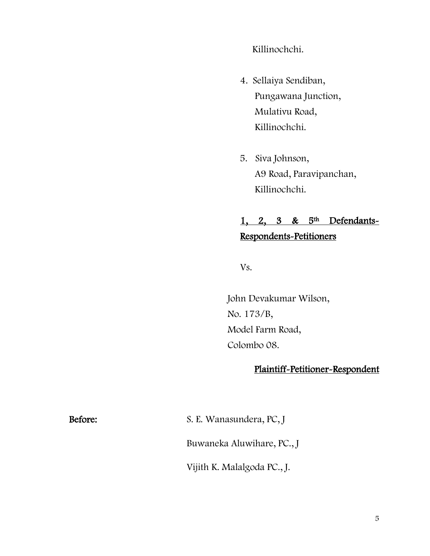Killinochchi.

- 4. Sellaiya Sendiban, Pungawana Junction, Mulativu Road, Killinochchi.
- 5. Siva Johnson, A9 Road, Paravipanchan, Killinochchi.

# 1, 2, 3 &  $5<sup>th</sup>$  Defendants-Respondents-Petitioners

Vs.

John Devakumar Wilson, No. 173/B, Model Farm Road, Colombo 08.

## Plaintiff-Petitioner-Respondent

Before: S. E. Wanasundera, PC, J Buwaneka Aluwihare, PC., J

Vijith K. Malalgoda PC., J.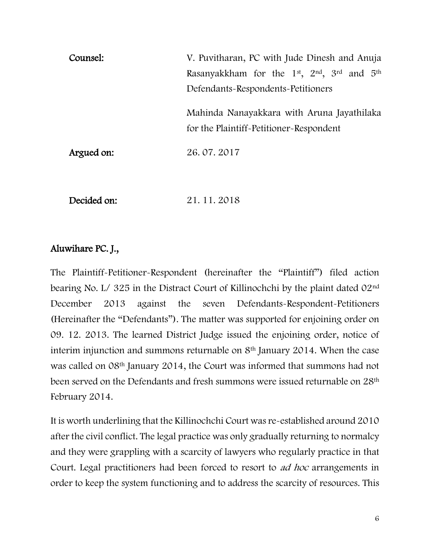| Counsel:   | V. Puvitharan, PC with Jude Dinesh and Anuja                                          |
|------------|---------------------------------------------------------------------------------------|
|            | Rasanyakkham for the 1 <sup>st</sup> , 2 <sup>nd</sup> , 3 <sup>rd</sup> and $5th$    |
|            | Defendants-Respondents-Petitioners                                                    |
|            | Mahinda Nanayakkara with Aruna Jayathilaka<br>for the Plaintiff-Petitioner-Respondent |
| Argued on: | 26.07.2017                                                                            |

Decided on: 21. 11. 2018

## Aluwihare PC. J.,

The Plaintiff-Petitioner-Respondent (hereinafter the "Plaintiff") filed action bearing No. L/ 325 in the Distract Court of Killinochchi by the plaint dated 02nd December 2013 against the seven Defendants-Respondent-Petitioners (Hereinafter the "Defendants"). The matter was supported for enjoining order on 09. 12. 2013. The learned District Judge issued the enjoining order, notice of interim injunction and summons returnable on 8<sup>th</sup> January 2014. When the case was called on 08th January 2014, the Court was informed that summons had not been served on the Defendants and fresh summons were issued returnable on 28<sup>th</sup> February 2014.

It is worth underlining that the Killinochchi Court was re-established around 2010 after the civil conflict. The legal practice was only gradually returning to normalcy and they were grappling with a scarcity of lawyers who regularly practice in that Court. Legal practitioners had been forced to resort to ad hoc arrangements in order to keep the system functioning and to address the scarcity of resources. This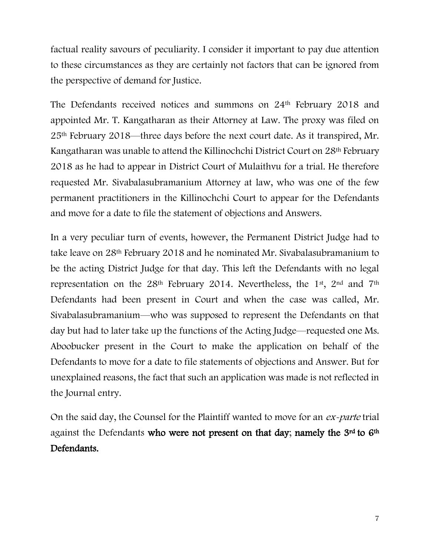factual reality savours of peculiarity. I consider it important to pay due attention to these circumstances as they are certainly not factors that can be ignored from the perspective of demand for Justice.

The Defendants received notices and summons on 24th February 2018 and appointed Mr. T. Kangatharan as their Attorney at Law. The proxy was filed on 25th February 2018—three days before the next court date. As it transpired, Mr. Kangatharan was unable to attend the Killinochchi District Court on 28th February 2018 as he had to appear in District Court of Mulaithvu for a trial. He therefore requested Mr. Sivabalasubramanium Attorney at law, who was one of the few permanent practitioners in the Killinochchi Court to appear for the Defendants and move for a date to file the statement of objections and Answers.

In a very peculiar turn of events, however, the Permanent District Judge had to take leave on 28th February 2018 and he nominated Mr. Sivabalasubramanium to be the acting District Judge for that day. This left the Defendants with no legal representation on the 28<sup>th</sup> February 2014. Nevertheless, the 1<sup>st</sup>, 2<sup>nd</sup> and 7<sup>th</sup> Defendants had been present in Court and when the case was called, Mr. Sivabalasubramanium—who was supposed to represent the Defendants on that day but had to later take up the functions of the Acting Judge—requested one Ms. Aboobucker present in the Court to make the application on behalf of the Defendants to move for a date to file statements of objections and Answer. But for unexplained reasons, the fact that such an application was made is not reflected in the Journal entry.

On the said day, the Counsel for the Plaintiff wanted to move for an ex-parte trial against the Defendants who were not present on that day; namely the 3<sup>rd</sup> to 6<sup>th</sup> Defendants.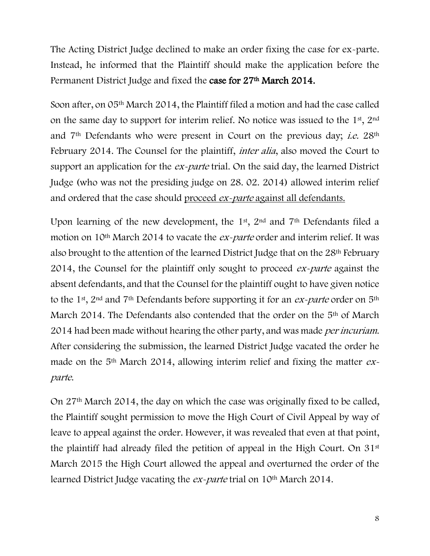The Acting District Judge declined to make an order fixing the case for ex-parte. Instead, he informed that the Plaintiff should make the application before the Permanent District Judge and fixed the case for 27<sup>th</sup> March 2014.

Soon after, on 05th March 2014, the Plaintiff filed a motion and had the case called on the same day to support for interim relief. No notice was issued to the  $1<sup>st</sup>$ ,  $2<sup>nd</sup>$ and  $7<sup>th</sup>$  Defendants who were present in Court on the previous day; *i.e.*  $28<sup>th</sup>$ February 2014. The Counsel for the plaintiff, *inter alia*, also moved the Court to support an application for the *ex-parte* trial. On the said day, the learned District Judge (who was not the presiding judge on 28. 02. 2014) allowed interim relief and ordered that the case should proceed ex-parte against all defendants.

Upon learning of the new development, the 1<sup>st</sup>, 2<sup>nd</sup> and 7<sup>th</sup> Defendants filed a motion on 10<sup>th</sup> March 2014 to vacate the *ex-parte* order and interim relief. It was also brought to the attention of the learned District Judge that on the 28th February 2014, the Counsel for the plaintiff only sought to proceed ex-parte against the absent defendants, and that the Counsel for the plaintiff ought to have given notice to the 1<sup>st</sup>, 2<sup>nd</sup> and 7<sup>th</sup> Defendants before supporting it for an *ex-parte* order on 5<sup>th</sup> March 2014. The Defendants also contended that the order on the 5<sup>th</sup> of March 2014 had been made without hearing the other party, and was made *per incuriam*. After considering the submission, the learned District Judge vacated the order he made on the  $5<sup>th</sup>$  March 2014, allowing interim relief and fixing the matter  $ex$ parte.

On 27th March 2014, the day on which the case was originally fixed to be called, the Plaintiff sought permission to move the High Court of Civil Appeal by way of leave to appeal against the order. However, it was revealed that even at that point, the plaintiff had already filed the petition of appeal in the High Court. On 31st March 2015 the High Court allowed the appeal and overturned the order of the learned District Judge vacating the *ex-parte* trial on 10<sup>th</sup> March 2014.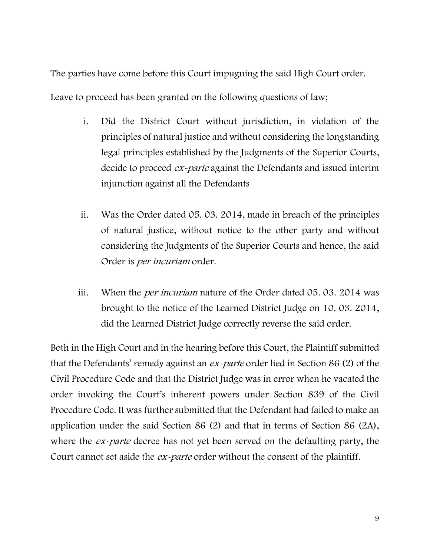The parties have come before this Court impugning the said High Court order.

Leave to proceed has been granted on the following questions of law;

- i. Did the District Court without jurisdiction, in violation of the principles of natural justice and without considering the longstanding legal principles established by the Judgments of the Superior Courts, decide to proceed *ex-parte* against the Defendants and issued interim injunction against all the Defendants
- ii. Was the Order dated 05. 03. 2014, made in breach of the principles of natural justice, without notice to the other party and without considering the Judgments of the Superior Courts and hence, the said Order is *per incuriam* order.
- iii. When the *per incuriam* nature of the Order dated 05.03.2014 was brought to the notice of the Learned District Judge on 10. 03. 2014, did the Learned District Judge correctly reverse the said order.

Both in the High Court and in the hearing before this Court, the Plaintiff submitted that the Defendants' remedy against an ex-parte order lied in Section 86 (2) of the Civil Procedure Code and that the District Judge was in error when he vacated the order invoking the Court's inherent powers under Section 839 of the Civil Procedure Code. It was further submitted that the Defendant had failed to make an application under the said Section 86 (2) and that in terms of Section 86 (2A), where the *ex-parte* decree has not yet been served on the defaulting party, the Court cannot set aside the *ex-parte* order without the consent of the plaintiff.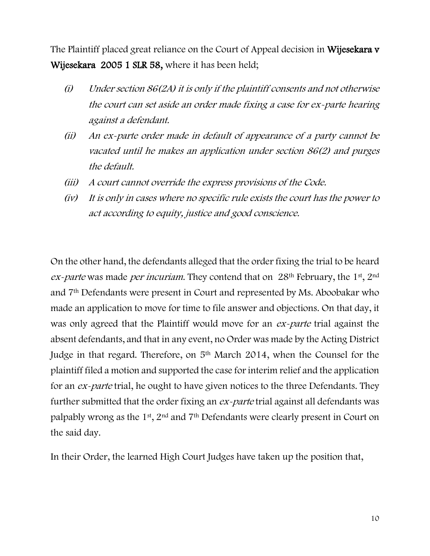The Plaintiff placed great reliance on the Court of Appeal decision in Wijesekara v Wijesekara 2005 1 SLR 58, where it has been held;

- $(i)$  Under section 86(2A) it is only if the plaintiff consents and not otherwise the court can set aside an order made fixing a case for ex-parte hearing against a defendant.
- (ii) An ex-parte order made in default of appearance of a party cannot be vacated until he makes an application under section 86(2) and purges the default.
- (iii) A court cannot override the express provisions of the Code.
- (iv) It is only in cases where no specific rule exists the court has the power to act according to equity, justice and good conscience.

On the other hand, the defendants alleged that the order fixing the trial to be heard  $ex$ -parte was made per incuriam. They contend that on 28<sup>th</sup> February, the 1<sup>st</sup>, 2<sup>nd</sup> and 7th Defendants were present in Court and represented by Ms. Aboobakar who made an application to move for time to file answer and objections. On that day, it was only agreed that the Plaintiff would move for an *ex-parte* trial against the absent defendants, and that in any event, no Order was made by the Acting District Judge in that regard. Therefore, on 5th March 2014, when the Counsel for the plaintiff filed a motion and supported the case for interim relief and the application for an ex-parte trial, he ought to have given notices to the three Defendants. They further submitted that the order fixing an ex-parte trial against all defendants was palpably wrong as the 1st, 2nd and 7th Defendants were clearly present in Court on the said day.

In their Order, the learned High Court Judges have taken up the position that,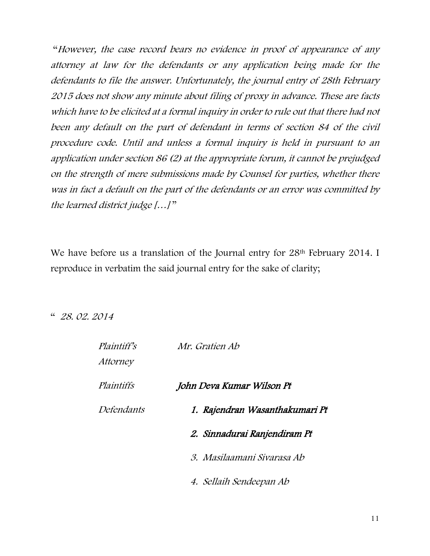"However, the case record bears no evidence in proof of appearance of any attorney at law for the defendants or any application being made for the defendants to file the answer. Unfortunately, the journal entry of 28th February 2015 does not show any minute about filing of proxy in advance. These are facts which have to be elicited at a formal inquiry in order to rule out that there had not been any default on the part of defendant in terms of section 84 of the civil procedure code. Until and unless a formal inquiry is held in pursuant to an application under section 86 (2) at the appropriate forum, it cannot be prejudged on the strength of mere submissions made by Counsel for parties, whether there was in fact a default on the part of the defendants or an error was committed by the learned district judge […] "

We have before us a translation of the Journal entry for 28<sup>th</sup> February 2014. I reproduce in verbatim the said journal entry for the sake of clarity;

" 28. 02. 2014

| <i>Plaintiff's</i><br><i>Attorney</i> | Mr. Gratien Ab                 |
|---------------------------------------|--------------------------------|
| Plaintiffs                            | John Deva Kumar Wilson Pt      |
| Defendants                            | 1. Rajendran Wasanthakumari Pt |
|                                       | 2. Sinnadurai Ranjendiram Pt   |
|                                       | 3. Masilaamani Sivarasa Ab     |
|                                       | 4. Sellaih Sendeepan Ab        |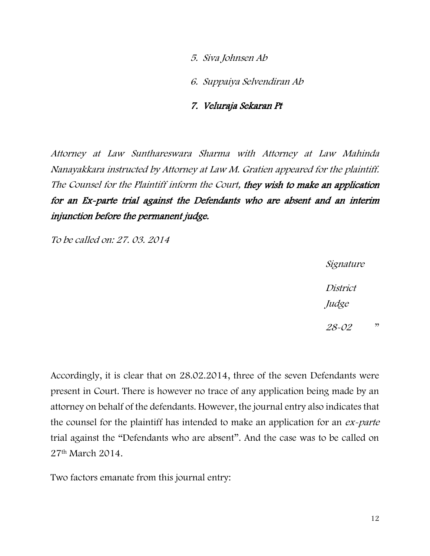5. Siva Johnsen Ab

6. Suppaiya Selvendiran Ab

#### 7. Veluraja Sekaran Pt

Attorney at Law Sunthareswara Sharma with Attorney at Law Mahinda Nanayakkara instructed by Attorney at Law M. Gratien appeared for the plaintiff. The Counsel for the Plaintiff inform the Court, they wish to make an application for an Ex-parte trial against the Defendants who are absent and an interim injunction before the permanent judge.

To be called on: 27. 03. 2014

Signature District Judge

28-02 "

Accordingly, it is clear that on 28.02.2014, three of the seven Defendants were present in Court. There is however no trace of any application being made by an attorney on behalf of the defendants. However, the journal entry also indicates that the counsel for the plaintiff has intended to make an application for an *ex-parte* trial against the "Defendants who are absent". And the case was to be called on 27th March 2014.

Two factors emanate from this journal entry: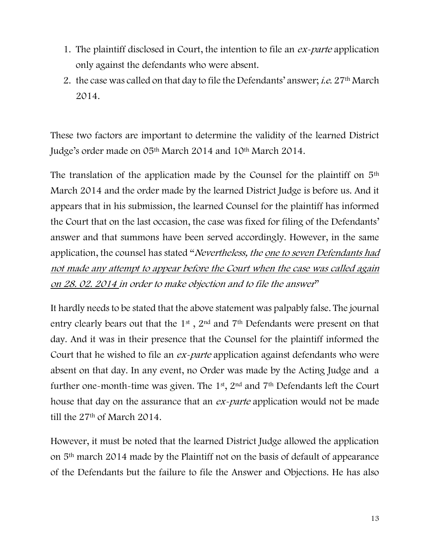- 1. The plaintiff disclosed in Court, the intention to file an *ex-parte* application only against the defendants who were absent.
- 2. the case was called on that day to file the Defendants' answer; *i.e.* 27<sup>th</sup> March 2014.

These two factors are important to determine the validity of the learned District Judge's order made on 05th March 2014 and 10th March 2014.

The translation of the application made by the Counsel for the plaintiff on 5th March 2014 and the order made by the learned District Judge is before us. And it appears that in his submission, the learned Counsel for the plaintiff has informed the Court that on the last occasion, the case was fixed for filing of the Defendants' answer and that summons have been served accordingly. However, in the same application, the counsel has stated "Nevertheless, the one to seven Defendants had not made any attempt to appear before the Court when the case was called again on 28. 02. 2014 in order to make objection and to file the answer"

It hardly needs to be stated that the above statement was palpably false. The journal entry clearly bears out that the 1st , 2nd and 7th Defendants were present on that day. And it was in their presence that the Counsel for the plaintiff informed the Court that he wished to file an *ex-parte* application against defendants who were absent on that day. In any event, no Order was made by the Acting Judge and a further one-month-time was given. The 1st, 2nd and 7th Defendants left the Court house that day on the assurance that an *ex-parte* application would not be made till the 27th of March 2014.

However, it must be noted that the learned District Judge allowed the application on 5th march 2014 made by the Plaintiff not on the basis of default of appearance of the Defendants but the failure to file the Answer and Objections. He has also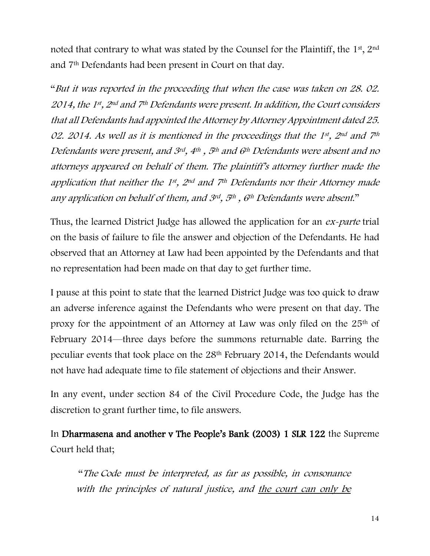noted that contrary to what was stated by the Counsel for the Plaintiff, the 1st, 2nd and 7th Defendants had been present in Court on that day.

"But it was reported in the proceeding that when the case was taken on 28. 02. 2014, the 1st , 2nd and 7th Defendants were present. In addition, the Court considers that all Defendants had appointed the Attorney by Attorney Appointment dated 25. 02. 2014. As well as it is mentioned in the proceedings that the  $1^{st}$ ,  $2^{nd}$  and  $7^{th}$ Defendants were present, and 3rd, 4th , 5th and 6th Defendants were absent and no attorneys appeared on behalf of them. The plaintiff's attorney further made the application that neither the 1st, 2<sup>nd</sup> and 7<sup>th</sup> Defendants nor their Attorney made any application on behalf of them, and 3rd, 5<sup>th</sup>, 6<sup>th</sup> Defendants were absent."

Thus, the learned District Judge has allowed the application for an ex-parte trial on the basis of failure to file the answer and objection of the Defendants. He had observed that an Attorney at Law had been appointed by the Defendants and that no representation had been made on that day to get further time.

I pause at this point to state that the learned District Judge was too quick to draw an adverse inference against the Defendants who were present on that day. The proxy for the appointment of an Attorney at Law was only filed on the 25<sup>th</sup> of February 2014—three days before the summons returnable date. Barring the peculiar events that took place on the 28th February 2014, the Defendants would not have had adequate time to file statement of objections and their Answer.

In any event, under section 84 of the Civil Procedure Code, the Judge has the discretion to grant further time, to file answers.

In Dharmasena and another v The People's Bank (2003) 1 SLR 122 the Supreme Court held that;

"The Code must be interpreted, as far as possible, in consonance with the principles of natural justice, and the court can only be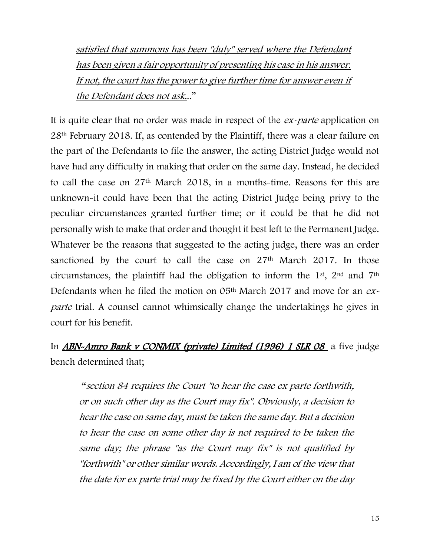satisfied that summons has been "duly" served where the Defendant has been given a fair opportunity of presenting his case in his answer. If not, the court has the power to give further time for answer even if the Defendant does not ask..."

It is quite clear that no order was made in respect of the *ex-parte* application on 28th February 2018. If, as contended by the Plaintiff, there was a clear failure on the part of the Defendants to file the answer, the acting District Judge would not have had any difficulty in making that order on the same day. Instead, he decided to call the case on 27th March 2018, in a months-time. Reasons for this are unknown-it could have been that the acting District Judge being privy to the peculiar circumstances granted further time; or it could be that he did not personally wish to make that order and thought it best left to the Permanent Judge. Whatever be the reasons that suggested to the acting judge, there was an order sanctioned by the court to call the case on  $27<sup>th</sup>$  March 2017. In those circumstances, the plaintiff had the obligation to inform the 1st, 2nd and 7th Defendants when he filed the motion on  $05<sup>th</sup>$  March 2017 and move for an  $ex$ parte trial. A counsel cannot whimsically change the undertakings he gives in court for his benefit.

In **ABN-Amro Bank v CONMIX (private) Limited (1996) 1 SLR 08** a five judge bench determined that;

"section 84 requires the Court "to hear the case ex parte forthwith, or on such other day as the Court may fix". Obviously, a decision to hear the case on same day, must be taken the same day. But a decision to hear the case on some other day is not required to be taken the same day; the phrase "as the Court may fix" is not qualified by "forthwith" or other similar words. Accordingly, I am of the view that the date for ex parte trial may be fixed by the Court either on the day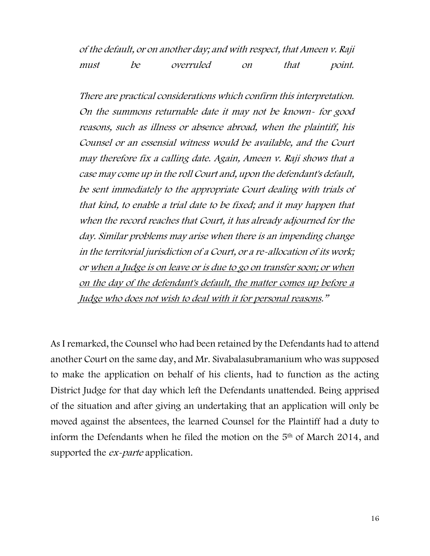of the default, or on another day; and with respect, that Ameen v. Raji must be overruled on that point.

There are practical considerations which confirm this interpretation. On the summons returnable date it may not be known- for good reasons, such as illness or absence abroad, when the plaintiff, his Counsel or an essensial witness would be available, and the Court may therefore fix a calling date. Again, Ameen v. Raji shows that a case may come up in the roll Court and, upon the defendant's default, be sent immediately to the appropriate Court dealing with trials of that kind, to enable a trial date to be fixed; and it may happen that when the record reaches that Court, it has already adjourned for the day. Similar problems may arise when there is an impending change in the territorial jurisdiction of a Court, or a re-allocation of its work; or when a Judge is on leave or is due to go on transfer soon; or when on the day of the defendant's default, the matter comes up before a Judge who does not wish to deal with it for personal reasons."

As I remarked, the Counsel who had been retained by the Defendants had to attend another Court on the same day, and Mr. Sivabalasubramanium who was supposed to make the application on behalf of his clients, had to function as the acting District Judge for that day which left the Defendants unattended. Being apprised of the situation and after giving an undertaking that an application will only be moved against the absentees, the learned Counsel for the Plaintiff had a duty to inform the Defendants when he filed the motion on the 5th of March 2014, and supported the *ex-parte* application.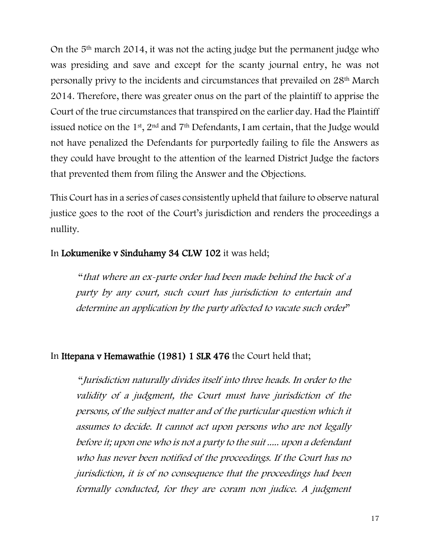On the 5th march 2014, it was not the acting judge but the permanent judge who was presiding and save and except for the scanty journal entry, he was not personally privy to the incidents and circumstances that prevailed on 28th March 2014. Therefore, there was greater onus on the part of the plaintiff to apprise the Court of the true circumstances that transpired on the earlier day. Had the Plaintiff issued notice on the 1<sup>st</sup>, 2<sup>nd</sup> and 7<sup>th</sup> Defendants, I am certain, that the Judge would not have penalized the Defendants for purportedly failing to file the Answers as they could have brought to the attention of the learned District Judge the factors that prevented them from filing the Answer and the Objections.

This Court has in a series of cases consistently upheld that failure to observe natural justice goes to the root of the Court's jurisdiction and renders the proceedings a nullity.

## In Lokumenike v Sinduhamy 34 CLW 102 it was held;

"that where an ex-parte order had been made behind the back of a party by any court, such court has jurisdiction to entertain and determine an application by the party affected to vacate such order"

## In Ittepana v Hemawathie (1981) 1 SLR 476 the Court held that;

"Jurisdiction naturally divides itself into three heads. In order to the validity of a judgment, the Court must have jurisdiction of the persons, of the subject matter and of the particular question which it assumes to decide. It cannot act upon persons who are not legally before it; upon one who is not a party to the suit ..... upon a defendant who has never been notified of the proceedings. If the Court has no jurisdiction, it is of no consequence that the proceedings had been formally conducted, for they are coram non judice. A judgment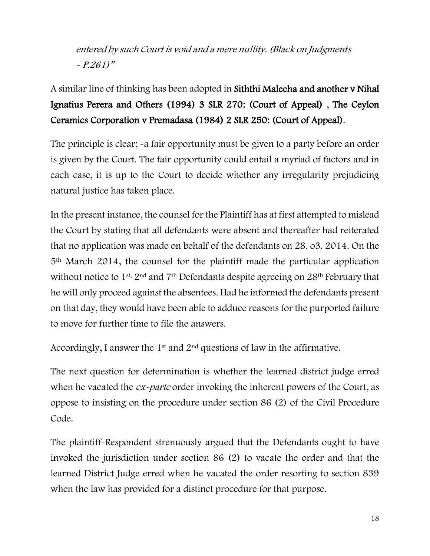entered by such Court is void and a mere nullity. (Black on Judgments - P.261)"

# A similar line of thinking has been adopted in Siththi Maleeha and another v Nihal Ignatius Perera and Others (1994) 3 SLR 270: (Court of Appeal) , The Ceylon Ceramics Corporation v Premadasa (1984) 2 SLR 250: (Court of Appeal).

The principle is clear; -a fair opportunity must be given to a party before an order is given by the Court. The fair opportunity could entail a myriad of factors and in each case, it is up to the Court to decide whether any irregularity prejudicing natural justice has taken place.

In the present instance, the counsel for the Plaintiff has at first attempted to mislead the Court by stating that all defendants were absent and thereafter had reiterated that no application was made on behalf of the defendants on 28. o3. 2014. On the 5th March 2014, the counsel for the plaintiff made the particular application without notice to 1<sup>st, 2nd</sup> and 7<sup>th</sup> Defendants despite agreeing on 28<sup>th</sup> February that he will only proceed against the absentees. Had he informed the defendants present on that day, they would have been able to adduce reasons for the purported failure to move for further time to file the answers.

Accordingly, I answer the  $1<sup>st</sup>$  and  $2<sup>nd</sup>$  questions of law in the affirmative.

The next question for determination is whether the learned district judge erred when he vacated the *ex-parte* order invoking the inherent powers of the Court, as oppose to insisting on the procedure under section 86 (2) of the Civil Procedure Code.

The plaintiff-Respondent strenuously argued that the Defendants ought to have invoked the jurisdiction under section 86 (2) to vacate the order and that the learned District Judge erred when he vacated the order resorting to section 839 when the law has provided for a distinct procedure for that purpose.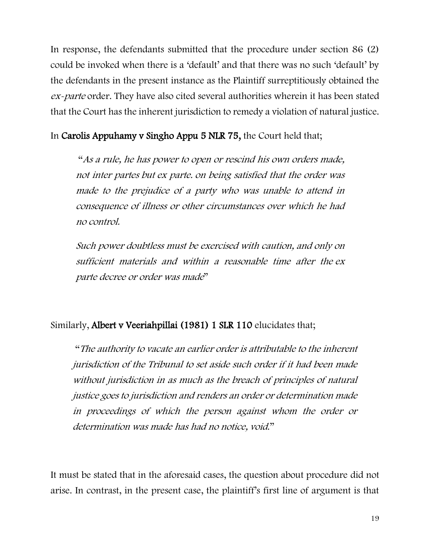In response, the defendants submitted that the procedure under section 86 (2) could be invoked when there is a 'default' and that there was no such 'default' by the defendants in the present instance as the Plaintiff surreptitiously obtained the ex-parte order. They have also cited several authorities wherein it has been stated that the Court has the inherent jurisdiction to remedy a violation of natural justice.

In Carolis Appuhamy v Singho Appu 5 NLR 75, the Court held that;

"As a rule, he has power to open or rescind his own orders made, not inter partes but ex parte. on being satisfied that the order was made to the prejudice of a party who was unable to attend in consequence of illness or other circumstances over which he had no control.

Such power doubtless must be exercised with caution, and only on sufficient materials and within a reasonable time after the ex parte decree or order was made"

## Similarly, Albert v Veeriahpillai (1981) 1 SLR 110 elucidates that;

"The authority to vacate an earlier order is attributable to the inherent jurisdiction of the Tribunal to set aside such order if it had been made without jurisdiction in as much as the breach of principles of natural justice goes to jurisdiction and renders an order or determination made in proceedings of which the person against whom the order or determination was made has had no notice, void."

It must be stated that in the aforesaid cases, the question about procedure did not arise. In contrast, in the present case, the plaintiff's first line of argument is that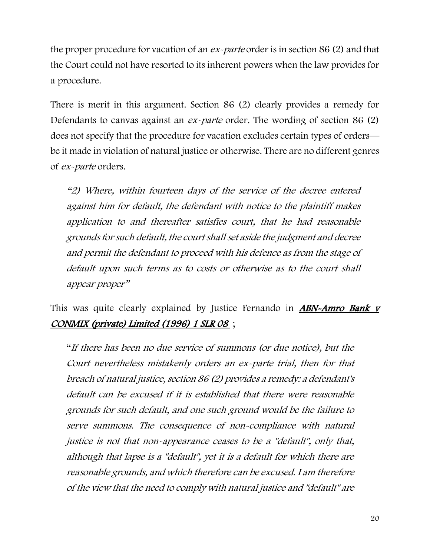the proper procedure for vacation of an ex-parte order is in section 86 (2) and that the Court could not have resorted to its inherent powers when the law provides for a procedure.

There is merit in this argument. Section 86 (2) clearly provides a remedy for Defendants to canvas against an *ex-parte* order. The wording of section 86 (2) does not specify that the procedure for vacation excludes certain types of orders be it made in violation of natural justice or otherwise. There are no different genres of ex-parte orders.

"2) Where, within fourteen days of the service of the decree entered against him for default, the defendant with notice to the plaintiff makes application to and thereafter satisfies court, that he had reasonable grounds for such default, the court shall set aside the judgment and decree and permit the defendant to proceed with his defence as from the stage of default upon such terms as to costs or otherwise as to the court shall appear proper"

This was quite clearly explained by Justice Fernando in **ABN-Amro Bank** v CONMIX (private) Limited (1996) 1 SLR 08 ;

"If there has been no due service of summons (or due notice), but the Court nevertheless mistakenly orders an ex-parte trial, then for that breach of natural justice, section 86 (2) provides a remedy: a defendant's default can be excused if it is established that there were reasonable grounds for such default, and one such ground would be the failure to serve summons. The consequence of non-compliance with natural justice is not that non-appearance ceases to be a "default", only that, although that lapse is a "default", yet it is a default for which there are reasonable grounds, and which therefore can be excused. I am therefore of the view that the need to comply with natural justice and "default" are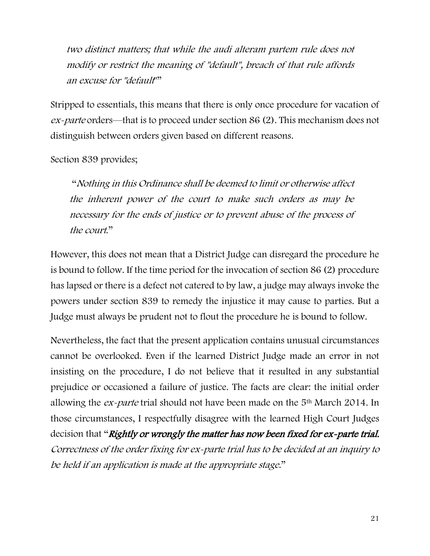two distinct matters; that while the audi alteram partem rule does not modify or restrict the meaning of "default", breach of that rule affords an excuse for "default""

Stripped to essentials, this means that there is only once procedure for vacation of ex-parte orders—that is to proceed under section 86 (2). This mechanism does not distinguish between orders given based on different reasons.

Section 839 provides;

"Nothing in this Ordinance shall be deemed to limit or otherwise affect the inherent power of the court to make such orders as may be necessary for the ends of justice or to prevent abuse of the process of the court."

However, this does not mean that a District Judge can disregard the procedure he is bound to follow. If the time period for the invocation of section 86 (2) procedure has lapsed or there is a defect not catered to by law, a judge may always invoke the powers under section 839 to remedy the injustice it may cause to parties. But a Judge must always be prudent not to flout the procedure he is bound to follow.

Nevertheless, the fact that the present application contains unusual circumstances cannot be overlooked. Even if the learned District Judge made an error in not insisting on the procedure, I do not believe that it resulted in any substantial prejudice or occasioned a failure of justice. The facts are clear: the initial order allowing the  $ex$ -parte trial should not have been made on the  $5<sup>th</sup>$  March 2014. In those circumstances, I respectfully disagree with the learned High Court Judges decision that "Rightly or wrongly the matter has now been fixed for ex-parte trial. Correctness of the order fixing for ex-parte trial has to be decided at an inquiry to be held if an application is made at the appropriate stage."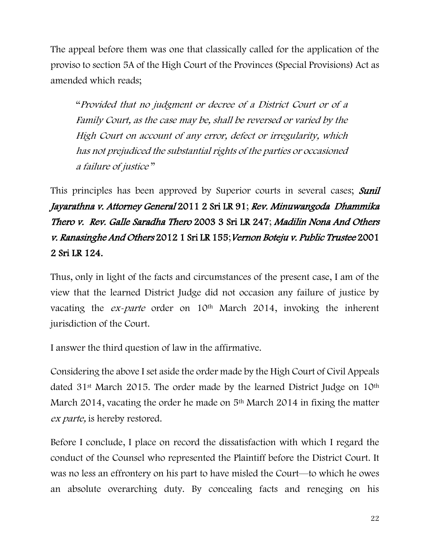The appeal before them was one that classically called for the application of the proviso to section 5A of the High Court of the Provinces (Special Provisions) Act as amended which reads;

"Provided that no judgment or decree of a District Court or of a Family Court, as the case may be, shall be reversed or varied by the High Court on account of any error, defect or irregularity, which has not prejudiced the substantial rights of the parties or occasioned a failure of justice "

This principles has been approved by Superior courts in several cases; Sunil Jayarathna v. Attorney General 2011 2 Sri LR 91; Rev. Minuwangoda Dhammika Thero v. Rev. Galle Saradha Thero 2003 3 Sri LR 247; Madilin Nona And Others v. Ranasinghe And Others 2012 1 Sri LR 155;Vernon Boteju v. Public Trustee 2001 2 Sri LR 124.

Thus, only in light of the facts and circumstances of the present case, I am of the view that the learned District Judge did not occasion any failure of justice by vacating the *ex-parte* order on 10<sup>th</sup> March 2014, invoking the inherent jurisdiction of the Court.

I answer the third question of law in the affirmative.

Considering the above I set aside the order made by the High Court of Civil Appeals dated 31<sup>st</sup> March 2015. The order made by the learned District Judge on 10<sup>th</sup> March 2014, vacating the order he made on 5<sup>th</sup> March 2014 in fixing the matter ex *parte*, is hereby restored.

Before I conclude, I place on record the dissatisfaction with which I regard the conduct of the Counsel who represented the Plaintiff before the District Court. It was no less an effrontery on his part to have misled the Court—to which he owes an absolute overarching duty. By concealing facts and reneging on his